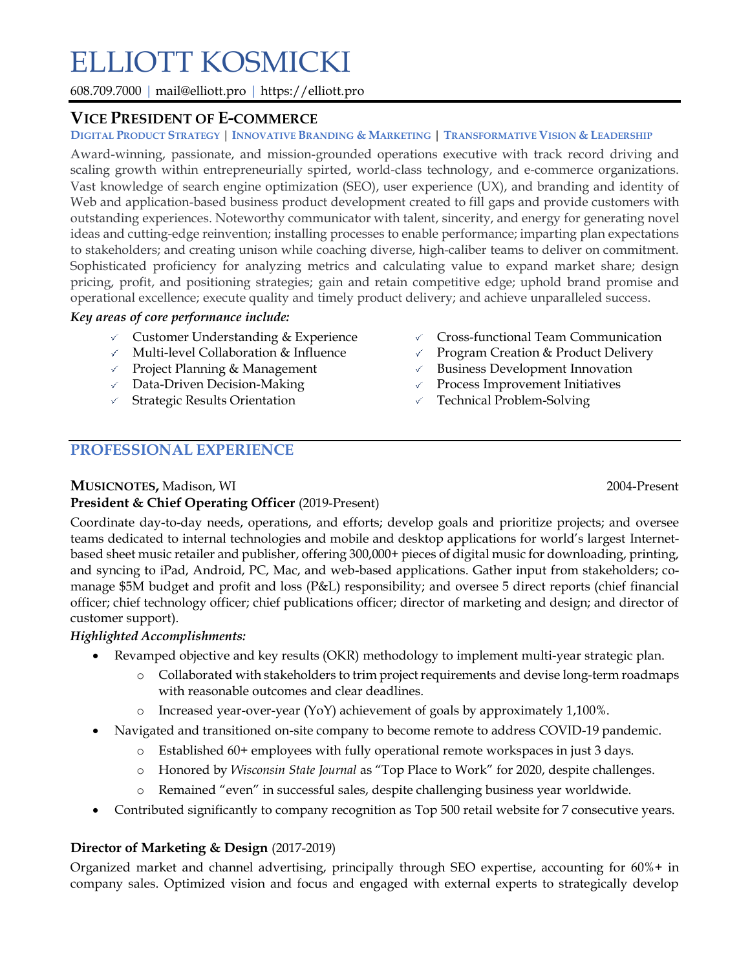# ELLIOTT KOSMICKI

608.709.7000 | mail@elliott.pro | https://elliott.pro

#### **VICE PRESIDENT OF E-COMMERCE**

#### DIGITAL PRODUCT STRATEGY | INNOVATIVE BRANDING & MARKETING | TRANSFORMATIVE VISION & LEADERSHIP

Award-winning, passionate, and mission-grounded operations executive with track record driving and scaling growth within entrepreneurially spirted, world-class technology, and e-commerce organizations. Vast knowledge of search engine optimization (SEO), user experience (UX), and branding and identity of Web and application-based business product development created to fill gaps and provide customers with outstanding experiences. Noteworthy communicator with talent, sincerity, and energy for generating novel ideas and cutting-edge reinvention; installing processes to enable performance; imparting plan expectations to stakeholders; and creating unison while coaching diverse, high-caliber teams to deliver on commitment. Sophisticated proficiency for analyzing metrics and calculating value to expand market share; design pricing, profit, and positioning strategies; gain and retain competitive edge; uphold brand promise and operational excellence; execute quality and timely product delivery; and achieve unparalleled success.

#### *Key areas of core performance include:*

- $\checkmark$  Customer Understanding & Experience
- $\checkmark$  Multi-level Collaboration & Influence
- $\vee$  Project Planning & Management
- $\sqrt{ }$  Data-Driven Decision-Making
- $\checkmark$  Strategic Results Orientation
- $\checkmark$  Cross-functional Team Communication
- Program Creation & Product Delivery  $\checkmark$
- $\checkmark$ Business Development Innovation
- $\checkmark$  . Process Improvement Initiatives
- $\checkmark$  Technical Problem-Solving

### **PROFESSIONAL EXPERIENCE**

#### **MUSICNOTES,** Madison, WI 2004-Present

### **President & Chief Operating Officer** (2019-Present)

Coordinate day-to-day needs, operations, and efforts; develop goals and prioritize projects; and oversee teams dedicated to internal technologies and mobile and desktop applications for world's largest Internetbased sheet music retailer and publisher, offering 300,000+ pieces of digital music for downloading, printing, and syncing to iPad, Android, PC, Mac, and web-based applications. Gather input from stakeholders; comanage \$5M budget and profit and loss (P&L) responsibility; and oversee 5 direct reports (chief financial officer; chief technology officer; chief publications officer; director of marketing and design; and director of customer support).

#### *Highlighted Accomplishments:*

- Revamped objective and key results (OKR) methodology to implement multi-year strategic plan.
	- o Collaborated with stakeholders to trim project requirements and devise long-term roadmaps with reasonable outcomes and clear deadlines.
	- $\circ$  Increased year-over-year (YoY) achievement of goals by approximately 1,100%.
- Navigated and transitioned on-site company to become remote to address COVID-19 pandemic.
	- o Established 60+ employees with fully operational remote workspaces in just 3 days.
	- o Honored by *Wisconsin State Journal* as "Top Place to Work" for 2020, despite challenges.
	- o Remained "even" in successful sales, despite challenging business year worldwide.
- Contributed significantly to company recognition as Top 500 retail website for 7 consecutive years.

#### **Director of Marketing & Design** (2017-2019)

Organized market and channel advertising, principally through SEO expertise, accounting for 60%+ in company sales. Optimized vision and focus and engaged with external experts to strategically develop